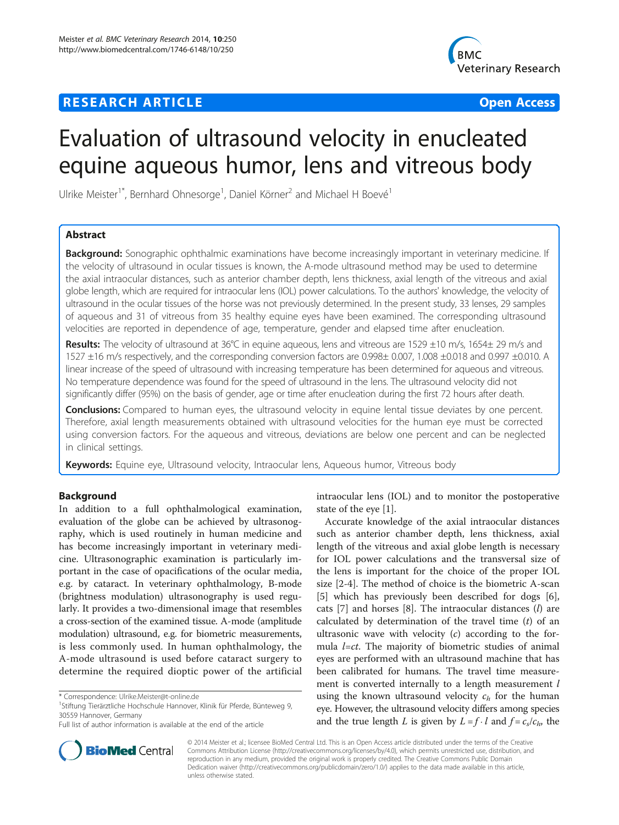## **RESEARCH ARTICLE Example 2014 12:30 The Contract of Contract Contract Contract Contract Contract Contract Contract Contract Contract Contract Contract Contract Contract Contract Contract Contract Contract Contract Contr**



# Evaluation of ultrasound velocity in enucleated equine aqueous humor, lens and vitreous body

Ulrike Meister<sup>1\*</sup>, Bernhard Ohnesorge<sup>1</sup>, Daniel Körner<sup>2</sup> and Michael H Boevé<sup>1</sup>

## Abstract

Background: Sonographic ophthalmic examinations have become increasingly important in veterinary medicine. If the velocity of ultrasound in ocular tissues is known, the A-mode ultrasound method may be used to determine the axial intraocular distances, such as anterior chamber depth, lens thickness, axial length of the vitreous and axial globe length, which are required for intraocular lens (IOL) power calculations. To the authors' knowledge, the velocity of ultrasound in the ocular tissues of the horse was not previously determined. In the present study, 33 lenses, 29 samples of aqueous and 31 of vitreous from 35 healthy equine eyes have been examined. The corresponding ultrasound velocities are reported in dependence of age, temperature, gender and elapsed time after enucleation.

Results: The velocity of ultrasound at 36°C in equine aqueous, lens and vitreous are 1529 ±10 m/s, 1654± 29 m/s and 1527 ±16 m/s respectively, and the corresponding conversion factors are 0.998± 0.007, 1.008 ±0.018 and 0.997 ±0.010. A linear increase of the speed of ultrasound with increasing temperature has been determined for aqueous and vitreous. No temperature dependence was found for the speed of ultrasound in the lens. The ultrasound velocity did not significantly differ (95%) on the basis of gender, age or time after enucleation during the first 72 hours after death.

**Conclusions:** Compared to human eyes, the ultrasound velocity in equine lental tissue deviates by one percent. Therefore, axial length measurements obtained with ultrasound velocities for the human eye must be corrected using conversion factors. For the aqueous and vitreous, deviations are below one percent and can be neglected in clinical settings.

Keywords: Equine eye, Ultrasound velocity, Intraocular lens, Aqueous humor, Vitreous body

## Background

In addition to a full ophthalmological examination, evaluation of the globe can be achieved by ultrasonography, which is used routinely in human medicine and has become increasingly important in veterinary medicine. Ultrasonographic examination is particularly important in the case of opacifications of the ocular media, e.g. by cataract. In veterinary ophthalmology, B-mode (brightness modulation) ultrasonography is used regularly. It provides a two-dimensional image that resembles a cross-section of the examined tissue. A-mode (amplitude modulation) ultrasound, e.g. for biometric measurements, is less commonly used. In human ophthalmology, the A-mode ultrasound is used before cataract surgery to determine the required dioptic power of the artificial



Accurate knowledge of the axial intraocular distances such as anterior chamber depth, lens thickness, axial length of the vitreous and axial globe length is necessary for IOL power calculations and the transversal size of the lens is important for the choice of the proper IOL size [\[2-4](#page-5-0)]. The method of choice is the biometric A-scan [[5\]](#page-5-0) which has previously been described for dogs [\[6](#page-5-0)], cats [\[7](#page-5-0)] and horses [[8\]](#page-5-0). The intraocular distances  $(l)$  are calculated by determination of the travel time  $(t)$  of an ultrasonic wave with velocity  $(c)$  according to the formula  $l=ct$ . The majority of biometric studies of animal eyes are performed with an ultrasound machine that has been calibrated for humans. The travel time measurement is converted internally to a length measurement  $l$ using the known ultrasound velocity  $c_h$  for the human eye. However, the ultrasound velocity differs among species and the true length L is given by  $L = f \cdot l$  and  $f = c_s/c_h$ , the



© 2014 Meister et al.; licensee BioMed Central Ltd. This is an Open Access article distributed under the terms of the Creative Commons Attribution License [\(http://creativecommons.org/licenses/by/4.0\)](http://creativecommons.org/licenses/by/4.0), which permits unrestricted use, distribution, and reproduction in any medium, provided the original work is properly credited. The Creative Commons Public Domain Dedication waiver [\(http://creativecommons.org/publicdomain/zero/1.0/](http://creativecommons.org/publicdomain/zero/1.0/)) applies to the data made available in this article, unless otherwise stated.

<sup>\*</sup> Correspondence: [Ulrike.Meister@t-online.de](mailto:Ulrike.Meister@t-online.de) <sup>1</sup>

<sup>&</sup>lt;sup>1</sup>Stiftung Tierärztliche Hochschule Hannover, Klinik für Pferde, Bünteweg 9, 30559 Hannover, Germany

Full list of author information is available at the end of the article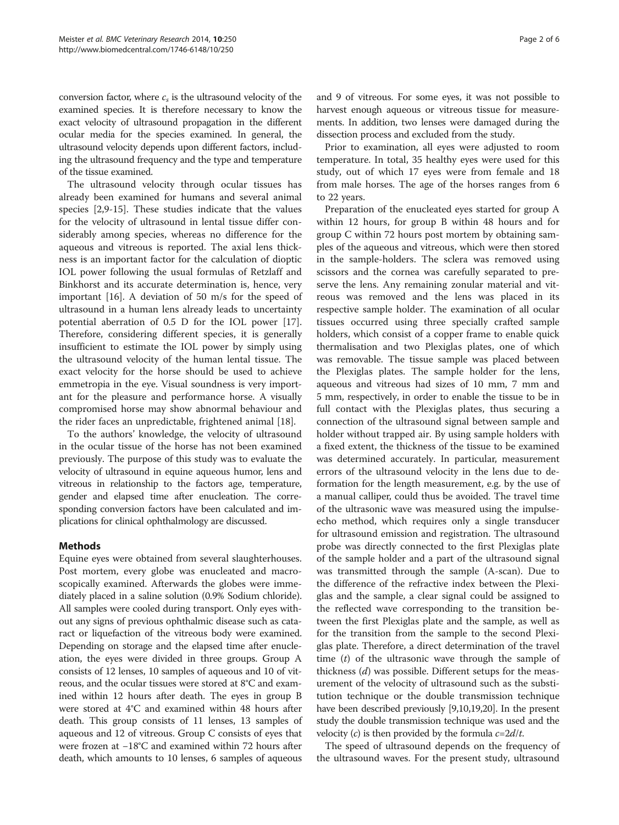conversion factor, where  $c_s$  is the ultrasound velocity of the examined species. It is therefore necessary to know the exact velocity of ultrasound propagation in the different ocular media for the species examined. In general, the ultrasound velocity depends upon different factors, including the ultrasound frequency and the type and temperature of the tissue examined.

The ultrasound velocity through ocular tissues has already been examined for humans and several animal species [\[2,9](#page-5-0)-[15\]](#page-5-0). These studies indicate that the values for the velocity of ultrasound in lental tissue differ considerably among species, whereas no difference for the aqueous and vitreous is reported. The axial lens thickness is an important factor for the calculation of dioptic IOL power following the usual formulas of Retzlaff and Binkhorst and its accurate determination is, hence, very important [[16\]](#page-5-0). A deviation of 50 m/s for the speed of ultrasound in a human lens already leads to uncertainty potential aberration of 0.5 D for the IOL power [\[17](#page-5-0)]. Therefore, considering different species, it is generally insufficient to estimate the IOL power by simply using the ultrasound velocity of the human lental tissue. The exact velocity for the horse should be used to achieve emmetropia in the eye. Visual soundness is very important for the pleasure and performance horse. A visually compromised horse may show abnormal behaviour and the rider faces an unpredictable, frightened animal [[18\]](#page-5-0).

To the authors' knowledge, the velocity of ultrasound in the ocular tissue of the horse has not been examined previously. The purpose of this study was to evaluate the velocity of ultrasound in equine aqueous humor, lens and vitreous in relationship to the factors age, temperature, gender and elapsed time after enucleation. The corresponding conversion factors have been calculated and implications for clinical ophthalmology are discussed.

## Methods

Equine eyes were obtained from several slaughterhouses. Post mortem, every globe was enucleated and macroscopically examined. Afterwards the globes were immediately placed in a saline solution (0.9% Sodium chloride). All samples were cooled during transport. Only eyes without any signs of previous ophthalmic disease such as cataract or liquefaction of the vitreous body were examined. Depending on storage and the elapsed time after enucleation, the eyes were divided in three groups. Group A consists of 12 lenses, 10 samples of aqueous and 10 of vitreous, and the ocular tissues were stored at 8°C and examined within 12 hours after death. The eyes in group B were stored at 4°C and examined within 48 hours after death. This group consists of 11 lenses, 13 samples of aqueous and 12 of vitreous. Group C consists of eyes that were frozen at −18°C and examined within 72 hours after death, which amounts to 10 lenses, 6 samples of aqueous

and 9 of vitreous. For some eyes, it was not possible to harvest enough aqueous or vitreous tissue for measurements. In addition, two lenses were damaged during the dissection process and excluded from the study.

Prior to examination, all eyes were adjusted to room temperature. In total, 35 healthy eyes were used for this study, out of which 17 eyes were from female and 18 from male horses. The age of the horses ranges from 6 to 22 years.

Preparation of the enucleated eyes started for group A within 12 hours, for group B within 48 hours and for group C within 72 hours post mortem by obtaining samples of the aqueous and vitreous, which were then stored in the sample-holders. The sclera was removed using scissors and the cornea was carefully separated to preserve the lens. Any remaining zonular material and vitreous was removed and the lens was placed in its respective sample holder. The examination of all ocular tissues occurred using three specially crafted sample holders, which consist of a copper frame to enable quick thermalisation and two Plexiglas plates, one of which was removable. The tissue sample was placed between the Plexiglas plates. The sample holder for the lens, aqueous and vitreous had sizes of 10 mm, 7 mm and 5 mm, respectively, in order to enable the tissue to be in full contact with the Plexiglas plates, thus securing a connection of the ultrasound signal between sample and holder without trapped air. By using sample holders with a fixed extent, the thickness of the tissue to be examined was determined accurately. In particular, measurement errors of the ultrasound velocity in the lens due to deformation for the length measurement, e.g. by the use of a manual calliper, could thus be avoided. The travel time of the ultrasonic wave was measured using the impulseecho method, which requires only a single transducer for ultrasound emission and registration. The ultrasound probe was directly connected to the first Plexiglas plate of the sample holder and a part of the ultrasound signal was transmitted through the sample (A-scan). Due to the difference of the refractive index between the Plexiglas and the sample, a clear signal could be assigned to the reflected wave corresponding to the transition between the first Plexiglas plate and the sample, as well as for the transition from the sample to the second Plexiglas plate. Therefore, a direct determination of the travel time  $(t)$  of the ultrasonic wave through the sample of thickness (d) was possible. Different setups for the measurement of the velocity of ultrasound such as the substitution technique or the double transmission technique have been described previously [[9,10,19,20\]](#page-5-0). In the present study the double transmission technique was used and the velocity (c) is then provided by the formula  $c=2d/t$ .

The speed of ultrasound depends on the frequency of the ultrasound waves. For the present study, ultrasound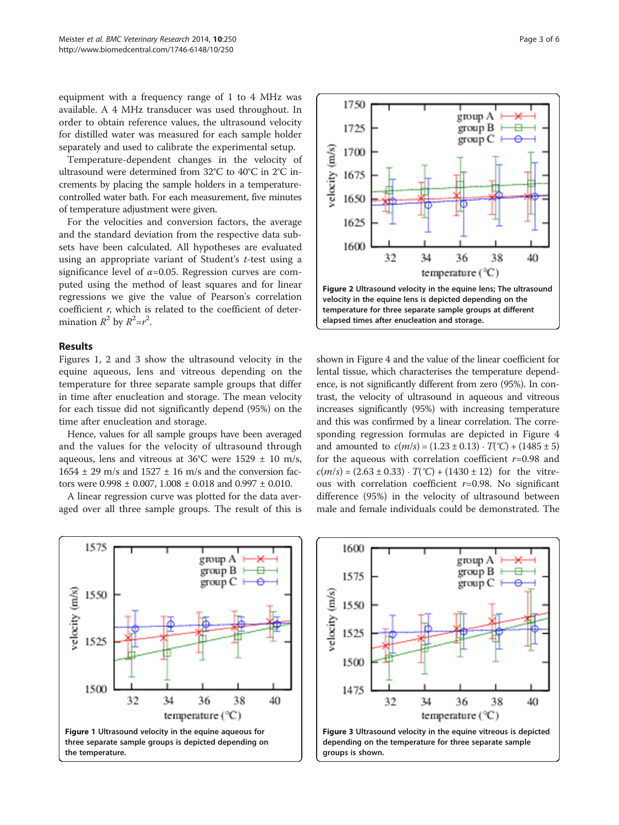equipment with a frequency range of 1 to 4 MHz was available. A 4 MHz transducer was used throughout. In order to obtain reference values, the ultrasound velocity for distilled water was measured for each sample holder separately and used to calibrate the experimental setup.

Temperature-dependent changes in the velocity of ultrasound were determined from 32°C to 40°C in 2°C increments by placing the sample holders in a temperaturecontrolled water bath. For each measurement, five minutes of temperature adjustment were given.

For the velocities and conversion factors, the average and the standard deviation from the respective data subsets have been calculated. All hypotheses are evaluated using an appropriate variant of Student's  $t$ -test using a significance level of  $\alpha$ =0.05. Regression curves are computed using the method of least squares and for linear regressions we give the value of Pearson's correlation coefficient r, which is related to the coefficient of determination  $R^2$  by  $R^2 = r^2$ .

## Results

Figures 1, 2 and 3 show the ultrasound velocity in the equine aqueous, lens and vitreous depending on the temperature for three separate sample groups that differ in time after enucleation and storage. The mean velocity for each tissue did not significantly depend (95%) on the time after enucleation and storage.

Hence, values for all sample groups have been averaged and the values for the velocity of ultrasound through aqueous, lens and vitreous at  $36^{\circ}$ C were  $1529 \pm 10$  m/s,  $1654 \pm 29$  m/s and  $1527 \pm 16$  m/s and the conversion factors were  $0.998 \pm 0.007$ ,  $1.008 \pm 0.018$  and  $0.997 \pm 0.010$ .

A linear regression curve was plotted for the data averaged over all three sample groups. The result of this is



shown in Figure [4](#page-3-0) and the value of the linear coefficient for lental tissue, which characterises the temperature dependence, is not significantly different from zero (95%). In contrast, the velocity of ultrasound in aqueous and vitreous increases significantly (95%) with increasing temperature and this was confirmed by a linear correlation. The corresponding regression formulas are depicted in Figure [4](#page-3-0) and amounted to  $c(m/s) = (1.23 \pm 0.13) \cdot T({}^{\circ}C) + (1485 \pm 5)$ for the aqueous with correlation coefficient  $r=0.98$  and  $c(m/s) = (2.63 \pm 0.33) \cdot T({}^{\circ}C) + (1430 \pm 12)$  for the vitreous with correlation coefficient  $r=0.98$ . No significant difference (95%) in the velocity of ultrasound between male and female individuals could be demonstrated. The





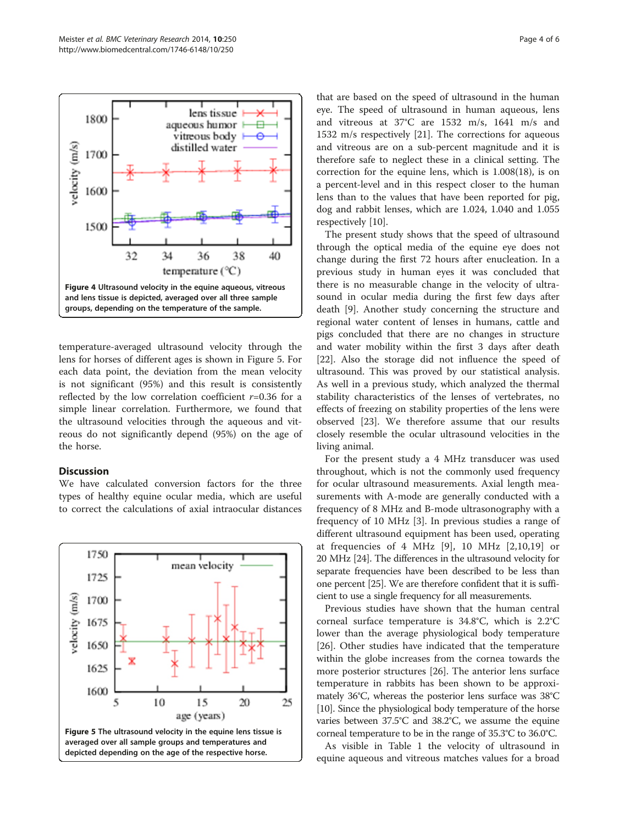

### Discussion

We have calculated conversion factors for the three types of healthy equine ocular media, which are useful to correct the calculations of axial intraocular distances



that are based on the speed of ultrasound in the human eye. The speed of ultrasound in human aqueous, lens and vitreous at 37°C are 1532 m/s, 1641 m/s and 1532 m/s respectively [[21](#page-5-0)]. The corrections for aqueous and vitreous are on a sub-percent magnitude and it is therefore safe to neglect these in a clinical setting. The correction for the equine lens, which is 1.008(18), is on a percent-level and in this respect closer to the human lens than to the values that have been reported for pig, dog and rabbit lenses, which are 1.024, 1.040 and 1.055 respectively [\[10](#page-5-0)].

The present study shows that the speed of ultrasound through the optical media of the equine eye does not change during the first 72 hours after enucleation. In a previous study in human eyes it was concluded that there is no measurable change in the velocity of ultrasound in ocular media during the first few days after death [[9\]](#page-5-0). Another study concerning the structure and regional water content of lenses in humans, cattle and pigs concluded that there are no changes in structure and water mobility within the first 3 days after death [[22\]](#page-5-0). Also the storage did not influence the speed of ultrasound. This was proved by our statistical analysis. As well in a previous study, which analyzed the thermal stability characteristics of the lenses of vertebrates, no effects of freezing on stability properties of the lens were observed [\[23](#page-5-0)]. We therefore assume that our results closely resemble the ocular ultrasound velocities in the living animal.

For the present study a 4 MHz transducer was used throughout, which is not the commonly used frequency for ocular ultrasound measurements. Axial length measurements with A-mode are generally conducted with a frequency of 8 MHz and B-mode ultrasonography with a frequency of 10 MHz [[3\]](#page-5-0). In previous studies a range of different ultrasound equipment has been used, operating at frequencies of 4 MHz  $[9]$  $[9]$ , 10 MHz  $[2,10,19]$  $[2,10,19]$  $[2,10,19]$  or 20 MHz [\[24\]](#page-5-0). The differences in the ultrasound velocity for separate frequencies have been described to be less than one percent [\[25\]](#page-5-0). We are therefore confident that it is sufficient to use a single frequency for all measurements.

Previous studies have shown that the human central corneal surface temperature is 34.8°C, which is 2.2°C lower than the average physiological body temperature [[26\]](#page-5-0). Other studies have indicated that the temperature within the globe increases from the cornea towards the more posterior structures [[26](#page-5-0)]. The anterior lens surface temperature in rabbits has been shown to be approximately 36°C, whereas the posterior lens surface was 38°C [[10](#page-5-0)]. Since the physiological body temperature of the horse varies between 37.5°C and 38.2°C, we assume the equine corneal temperature to be in the range of 35.3°C to 36.0°C.

As visible in Table [1](#page-4-0) the velocity of ultrasound in equine aqueous and vitreous matches values for a broad

<span id="page-3-0"></span>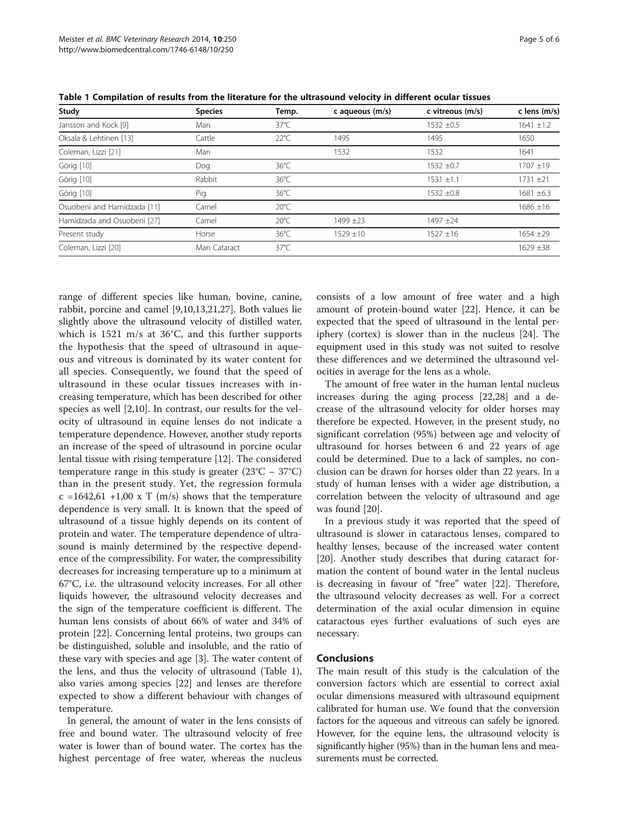<span id="page-4-0"></span>

|  |  |  |  |  |  |  | Table 1 Compilation of results from the literature for the ultrasound velocity in different ocular tissues |  |  |  |  |  |  |  |  |  |  |
|--|--|--|--|--|--|--|------------------------------------------------------------------------------------------------------------|--|--|--|--|--|--|--|--|--|--|
|--|--|--|--|--|--|--|------------------------------------------------------------------------------------------------------------|--|--|--|--|--|--|--|--|--|--|

| Study                       | <b>Species</b> | Temp.          | c aqueous (m/s) | c vitreous (m/s) | c lens (m/s)   |
|-----------------------------|----------------|----------------|-----------------|------------------|----------------|
| Jansson and Kock [9]        | Man            | $37^{\circ}$ C |                 | $1532 + 0.5$     | $1641 \pm 1.2$ |
| Oksala & Lehtinen [13]      | Cattle         | $22^{\circ}$ C | 1495            | 1495             | 1650           |
| Coleman, Lizzi [21]         | Man            |                | 1532            | 1532             | 1641           |
| Görig [10]                  | Dog            | $36^{\circ}$ C |                 | $1532 \pm 0.7$   | $1707 \pm 19$  |
| Görig [10]                  | Rabbit         | $36^{\circ}$ C |                 | $1531 \pm 1.1$   | $1731 \pm 21$  |
| Görig [10]                  | Pig            | $36^{\circ}$ C |                 | $1532 \pm 0.8$   | $1681 \pm 6.3$ |
| Osuobeni and Hamidzada [11] | Camel          | $20^{\circ}$ C |                 |                  | $1686 \pm 16$  |
| Hamidzada and Osuobeni [27] | Camel          | $20^{\circ}$ C | $1499 + 23$     | $1497 + 24$      |                |
| Present study               | Horse          | $36^{\circ}$ C | $1529 \pm 10$   | $1527 \pm 16$    | $1654 + 29$    |
| Coleman, Lizzi [20]         | Man Cataract   | $37^{\circ}$ C |                 |                  | $1629 \pm 38$  |

range of different species like human, bovine, canine, rabbit, porcine and camel [[9,10,13,21,27\]](#page-5-0). Both values lie slightly above the ultrasound velocity of distilled water, which is 1521 m/s at 36°C, and this further supports the hypothesis that the speed of ultrasound in aqueous and vitreous is dominated by its water content for all species. Consequently, we found that the speed of ultrasound in these ocular tissues increases with increasing temperature, which has been described for other species as well [\[2,10](#page-5-0)]. In contrast, our results for the velocity of ultrasound in equine lenses do not indicate a temperature dependence. However, another study reports an increase of the speed of ultrasound in porcine ocular lental tissue with rising temperature [[12](#page-5-0)]. The considered temperature range in this study is greater  $(23^{\circ}C - 37^{\circ}C)$ than in the present study. Yet, the regression formula c =1642,61 +1,00 x T (m/s) shows that the temperature dependence is very small. It is known that the speed of ultrasound of a tissue highly depends on its content of protein and water. The temperature dependence of ultrasound is mainly determined by the respective dependence of the compressibility. For water, the compressibility decreases for increasing temperature up to a minimum at 67°C, i.e. the ultrasound velocity increases. For all other liquids however, the ultrasound velocity decreases and the sign of the temperature coefficient is different. The human lens consists of about 66% of water and 34% of protein [[22](#page-5-0)]. Concerning lental proteins, two groups can be distinguished, soluble and insoluble, and the ratio of these vary with species and age [[3\]](#page-5-0). The water content of the lens, and thus the velocity of ultrasound (Table 1), also varies among species [\[22\]](#page-5-0) and lenses are therefore expected to show a different behaviour with changes of temperature.

In general, the amount of water in the lens consists of free and bound water. The ultrasound velocity of free water is lower than of bound water. The cortex has the highest percentage of free water, whereas the nucleus

consists of a low amount of free water and a high amount of protein-bound water [\[22](#page-5-0)]. Hence, it can be expected that the speed of ultrasound in the lental periphery (cortex) is slower than in the nucleus [[24\]](#page-5-0). The equipment used in this study was not suited to resolve these differences and we determined the ultrasound velocities in average for the lens as a whole.

The amount of free water in the human lental nucleus increases during the aging process [\[22,28](#page-5-0)] and a decrease of the ultrasound velocity for older horses may therefore be expected. However, in the present study, no significant correlation (95%) between age and velocity of ultrasound for horses between 6 and 22 years of age could be determined. Due to a lack of samples, no conclusion can be drawn for horses older than 22 years. In a study of human lenses with a wider age distribution, a correlation between the velocity of ultrasound and age was found [[20\]](#page-5-0).

In a previous study it was reported that the speed of ultrasound is slower in cataractous lenses, compared to healthy lenses, because of the increased water content [[20\]](#page-5-0). Another study describes that during cataract formation the content of bound water in the lental nucleus is decreasing in favour of "free" water [\[22](#page-5-0)]. Therefore, the ultrasound velocity decreases as well. For a correct determination of the axial ocular dimension in equine cataractous eyes further evaluations of such eyes are necessary.

#### Conclusions

The main result of this study is the calculation of the conversion factors which are essential to correct axial ocular dimensions measured with ultrasound equipment calibrated for human use. We found that the conversion factors for the aqueous and vitreous can safely be ignored. However, for the equine lens, the ultrasound velocity is significantly higher (95%) than in the human lens and measurements must be corrected.